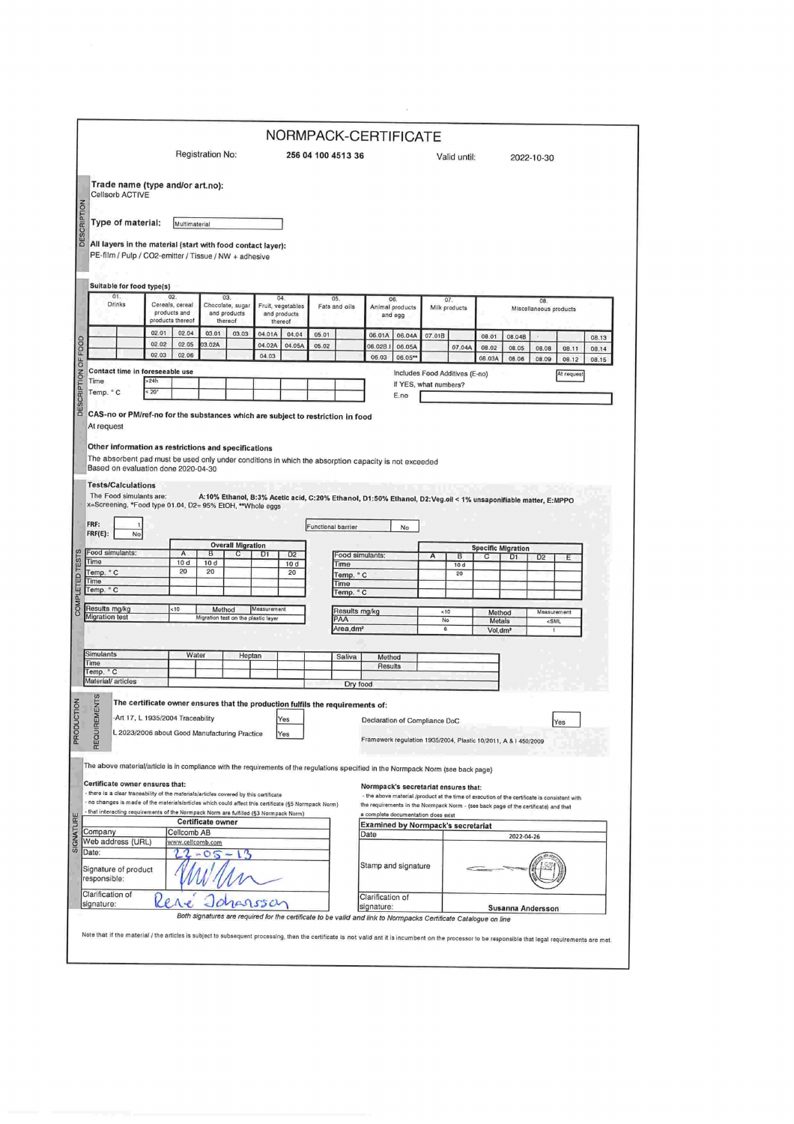|                                                                                                                                                                                                                                                                                                                                                                                                                                                                                                                                                                                      |                                                     |                                                             |                                             |                                     |                                              |                        |                    |                             | NORMPACK-CERTIFICATE                                                                                                       |                                |                     |           |                               |                   |                    |            |                |  |
|--------------------------------------------------------------------------------------------------------------------------------------------------------------------------------------------------------------------------------------------------------------------------------------------------------------------------------------------------------------------------------------------------------------------------------------------------------------------------------------------------------------------------------------------------------------------------------------|-----------------------------------------------------|-------------------------------------------------------------|---------------------------------------------|-------------------------------------|----------------------------------------------|------------------------|--------------------|-----------------------------|----------------------------------------------------------------------------------------------------------------------------|--------------------------------|---------------------|-----------|-------------------------------|-------------------|--------------------|------------|----------------|--|
|                                                                                                                                                                                                                                                                                                                                                                                                                                                                                                                                                                                      |                                                     | Registration No:                                            |                                             |                                     |                                              | 256 04 100 4513 36     |                    |                             |                                                                                                                            | Valid until:                   |                     |           |                               | 2022-10-30        |                    |            |                |  |
| Trade name (type and/or art.no):<br>Cellsorb ACTIVE                                                                                                                                                                                                                                                                                                                                                                                                                                                                                                                                  |                                                     |                                                             |                                             |                                     |                                              |                        |                    |                             |                                                                                                                            |                                |                     |           |                               |                   |                    |            |                |  |
| Type of material:                                                                                                                                                                                                                                                                                                                                                                                                                                                                                                                                                                    |                                                     | Multimaterial                                               |                                             |                                     |                                              |                        |                    |                             |                                                                                                                            |                                |                     |           |                               |                   |                    |            |                |  |
| All layers in the material (start with food contact layer):                                                                                                                                                                                                                                                                                                                                                                                                                                                                                                                          |                                                     |                                                             |                                             |                                     |                                              |                        |                    |                             |                                                                                                                            |                                |                     |           |                               |                   |                    |            |                |  |
| PE-film / Pulp / CO2-emitter / Tissue / NW + adhesive                                                                                                                                                                                                                                                                                                                                                                                                                                                                                                                                |                                                     |                                                             |                                             |                                     |                                              |                        |                    |                             |                                                                                                                            |                                |                     |           |                               |                   |                    |            |                |  |
| Suitable for food type(s)<br>01.                                                                                                                                                                                                                                                                                                                                                                                                                                                                                                                                                     |                                                     | 02.                                                         |                                             | 03.                                 | 04.                                          |                        |                    | 05.                         | 06.                                                                                                                        |                                |                     |           |                               |                   |                    |            |                |  |
| Drinks                                                                                                                                                                                                                                                                                                                                                                                                                                                                                                                                                                               | Cereals, cereal<br>products and<br>products thereof |                                                             | Chocolate, sugar<br>and products<br>thereof |                                     | Fruit, vegetables<br>and products<br>thereof |                        | Fats and oils      |                             | Animal products<br>and egg                                                                                                 |                                | 07<br>Milk products |           | 08.<br>Miscellaneous products |                   |                    |            |                |  |
|                                                                                                                                                                                                                                                                                                                                                                                                                                                                                                                                                                                      | 02.01<br>02.02                                      | 02.04<br>02.05                                              | 03.01<br>3.02A                              | 03.03                               | 04.01A<br>04.02A                             | 04.04<br>04.05A        | 05.01<br>05.02     |                             | 06.01A<br>06.02B.                                                                                                          | 06.04A<br>06.05A               | 07.01B              | 07.04A    | 08.01<br>08.02                | 08.04B<br>08.05   | 08.08              | 08.11      | 08.13<br>08.14 |  |
|                                                                                                                                                                                                                                                                                                                                                                                                                                                                                                                                                                                      | 02.03                                               | 02.06                                                       |                                             |                                     | 04.03                                        |                        |                    |                             | 06.03                                                                                                                      | 06.05**                        |                     |           | 08.03A                        | 08.06             | 08.09              | 08.12      | 08.15          |  |
| Contact time in foreseeable use<br>Time                                                                                                                                                                                                                                                                                                                                                                                                                                                                                                                                              | >24h                                                |                                                             |                                             |                                     |                                              |                        |                    |                             |                                                                                                                            | Includes Food Additives (E-no) |                     |           |                               |                   |                    | At request |                |  |
| Temp. ° C                                                                                                                                                                                                                                                                                                                                                                                                                                                                                                                                                                            | : 20"                                               |                                                             |                                             |                                     |                                              |                        |                    |                             |                                                                                                                            | If YES, what numbers?<br>E.no  |                     |           |                               |                   |                    |            |                |  |
|                                                                                                                                                                                                                                                                                                                                                                                                                                                                                                                                                                                      |                                                     |                                                             |                                             |                                     |                                              |                        |                    |                             |                                                                                                                            |                                |                     |           |                               |                   |                    |            |                |  |
| The Food simulants are:<br>x=Screening, *Food type 01.04, D2= 95% EtOH, **Whole eggs<br>FRF:                                                                                                                                                                                                                                                                                                                                                                                                                                                                                         |                                                     |                                                             |                                             |                                     |                                              |                        | Functional barrier |                             | A:10% Ethanol, B:3% Acetic acid, C:20% Ethanol, D1:50% Ethanol, D2:Veg.oil < 1% unsaponifiable matter, E:MPPO              | No                             |                     |           |                               |                   |                    |            |                |  |
| $FRF(E)$ :<br>No                                                                                                                                                                                                                                                                                                                                                                                                                                                                                                                                                                     |                                                     |                                                             |                                             | <b>Overall Migration</b>            |                                              |                        |                    |                             |                                                                                                                            |                                |                     |           | <b>Specific Migration</b>     |                   |                    |            |                |  |
| Food simulants:<br>Time                                                                                                                                                                                                                                                                                                                                                                                                                                                                                                                                                              |                                                     | Α<br>10d                                                    | B<br>10d                                    | C                                   | D <sub>1</sub>                               | D <sub>2</sub><br>10 d |                    | Food simulants:<br>Time     |                                                                                                                            |                                | А                   | B<br>10 d | С                             | D <sub>1</sub>    | D <sub>2</sub>     | Ε          |                |  |
| Temp. °C<br>Time                                                                                                                                                                                                                                                                                                                                                                                                                                                                                                                                                                     |                                                     | 20                                                          | 20                                          |                                     |                                              | 20                     |                    | Temp. °C                    |                                                                                                                            |                                |                     | 20        |                               |                   |                    |            |                |  |
| Temp. °C                                                                                                                                                                                                                                                                                                                                                                                                                                                                                                                                                                             |                                                     |                                                             |                                             |                                     |                                              |                        |                    | Time<br>Temp. °C            |                                                                                                                            |                                |                     |           |                               |                   |                    |            |                |  |
| Results mg/kg                                                                                                                                                                                                                                                                                                                                                                                                                                                                                                                                                                        |                                                     | <10                                                         |                                             | Method                              | Measurement                                  |                        |                    | Results mg/kg               |                                                                                                                            |                                | < 10                |           | Method                        |                   | Measurement        |            |                |  |
| <b>Migration test</b>                                                                                                                                                                                                                                                                                                                                                                                                                                                                                                                                                                |                                                     |                                                             |                                             | Migration test on the plastic layer |                                              |                        |                    | PAA<br>Area,dm <sup>2</sup> |                                                                                                                            |                                | No<br>6             |           | Metals<br>Vol.dm <sup>3</sup> |                   | <sml<br>1</sml<br> |            |                |  |
|                                                                                                                                                                                                                                                                                                                                                                                                                                                                                                                                                                                      |                                                     |                                                             |                                             |                                     |                                              |                        |                    |                             |                                                                                                                            |                                |                     |           |                               |                   |                    |            |                |  |
| Simulants<br>Time                                                                                                                                                                                                                                                                                                                                                                                                                                                                                                                                                                    |                                                     | Water                                                       |                                             | Heptan                              |                                              |                        |                    | Saliva                      | Method<br>Results                                                                                                          |                                |                     |           |                               |                   |                    |            |                |  |
| Temp. ° C<br>Material/ articles                                                                                                                                                                                                                                                                                                                                                                                                                                                                                                                                                      |                                                     |                                                             |                                             |                                     |                                              |                        |                    | Dry food                    |                                                                                                                            |                                |                     |           |                               |                   |                    |            |                |  |
|                                                                                                                                                                                                                                                                                                                                                                                                                                                                                                                                                                                      |                                                     |                                                             |                                             |                                     |                                              |                        |                    |                             |                                                                                                                            |                                |                     |           |                               |                   |                    |            |                |  |
|                                                                                                                                                                                                                                                                                                                                                                                                                                                                                                                                                                                      |                                                     |                                                             |                                             |                                     |                                              |                        |                    |                             |                                                                                                                            |                                |                     |           |                               |                   |                    |            |                |  |
| <b>MENTS</b><br>The certificate owner ensures that the production fulfils the requirements of:                                                                                                                                                                                                                                                                                                                                                                                                                                                                                       |                                                     | res<br>L 2023/2006 about Good Manufacturing Practice<br>Yes |                                             |                                     |                                              |                        |                    |                             | Declaration of Compliance DoC<br>Yes<br>Framework regulation 1935/2004, Plastic 10/2011, A & I 450/2009                    |                                |                     |           |                               |                   |                    |            |                |  |
| Art 17, L 1935/2004 Traceability                                                                                                                                                                                                                                                                                                                                                                                                                                                                                                                                                     |                                                     |                                                             |                                             |                                     |                                              |                        |                    |                             |                                                                                                                            |                                |                     |           |                               |                   |                    |            |                |  |
| REQUIRE                                                                                                                                                                                                                                                                                                                                                                                                                                                                                                                                                                              |                                                     |                                                             |                                             |                                     |                                              |                        |                    |                             |                                                                                                                            |                                |                     |           |                               |                   |                    |            |                |  |
|                                                                                                                                                                                                                                                                                                                                                                                                                                                                                                                                                                                      |                                                     |                                                             |                                             |                                     |                                              |                        |                    |                             |                                                                                                                            |                                |                     |           |                               |                   |                    |            |                |  |
|                                                                                                                                                                                                                                                                                                                                                                                                                                                                                                                                                                                      |                                                     |                                                             |                                             |                                     |                                              |                        |                    |                             | Normpack's secretariat ensures that:                                                                                       |                                |                     |           |                               |                   |                    |            |                |  |
|                                                                                                                                                                                                                                                                                                                                                                                                                                                                                                                                                                                      |                                                     |                                                             |                                             |                                     |                                              |                        |                    |                             | - the above material /product at the time of execution of the certificate is consistent with                               |                                |                     |           |                               |                   |                    |            |                |  |
|                                                                                                                                                                                                                                                                                                                                                                                                                                                                                                                                                                                      |                                                     |                                                             |                                             |                                     |                                              |                        |                    |                             | the requirements in the Normpack Norm - (see back page of the certificate) and that<br>a complete documentation does exist |                                |                     |           |                               |                   |                    |            |                |  |
|                                                                                                                                                                                                                                                                                                                                                                                                                                                                                                                                                                                      |                                                     | Cellcomb AB                                                 | Certificate owner                           |                                     |                                              |                        |                    |                             | <b>Examined by Normpack's secretariat</b><br>Date                                                                          |                                |                     |           |                               | 2022-04-26        |                    |            |                |  |
|                                                                                                                                                                                                                                                                                                                                                                                                                                                                                                                                                                                      |                                                     | www.cellcomb.com                                            |                                             |                                     |                                              |                        |                    |                             |                                                                                                                            |                                |                     |           |                               |                   |                    |            |                |  |
|                                                                                                                                                                                                                                                                                                                                                                                                                                                                                                                                                                                      |                                                     |                                                             |                                             |                                     |                                              |                        |                    |                             | Stamp and signature                                                                                                        |                                |                     |           |                               |                   |                    |            |                |  |
| The above material/article is in compliance with the requirements of the regulations specified in the Normpack Norm (see back page)<br>Certificate owner ensures that:<br>- there is a clear traceability of the materials/articles covered by this certificate<br>- no changes is made of the materials/articles which could affect this certificate (§5 Normpack Norm)<br>- that interacting requirements of the Normpack Norm are fulfilled (§3 Normpack Norm)<br>Company<br>Web address (URL)<br>Date:<br>Signature of product<br>responsible:<br>Clarification of<br>signature: |                                                     |                                                             |                                             |                                     |                                              |                        |                    |                             | Clarification of<br>signature:                                                                                             |                                |                     |           |                               | Susanna Andersson |                    |            |                |  |

 $\alpha_{\rm{max}}$  and  $\alpha_{\rm{max}}$